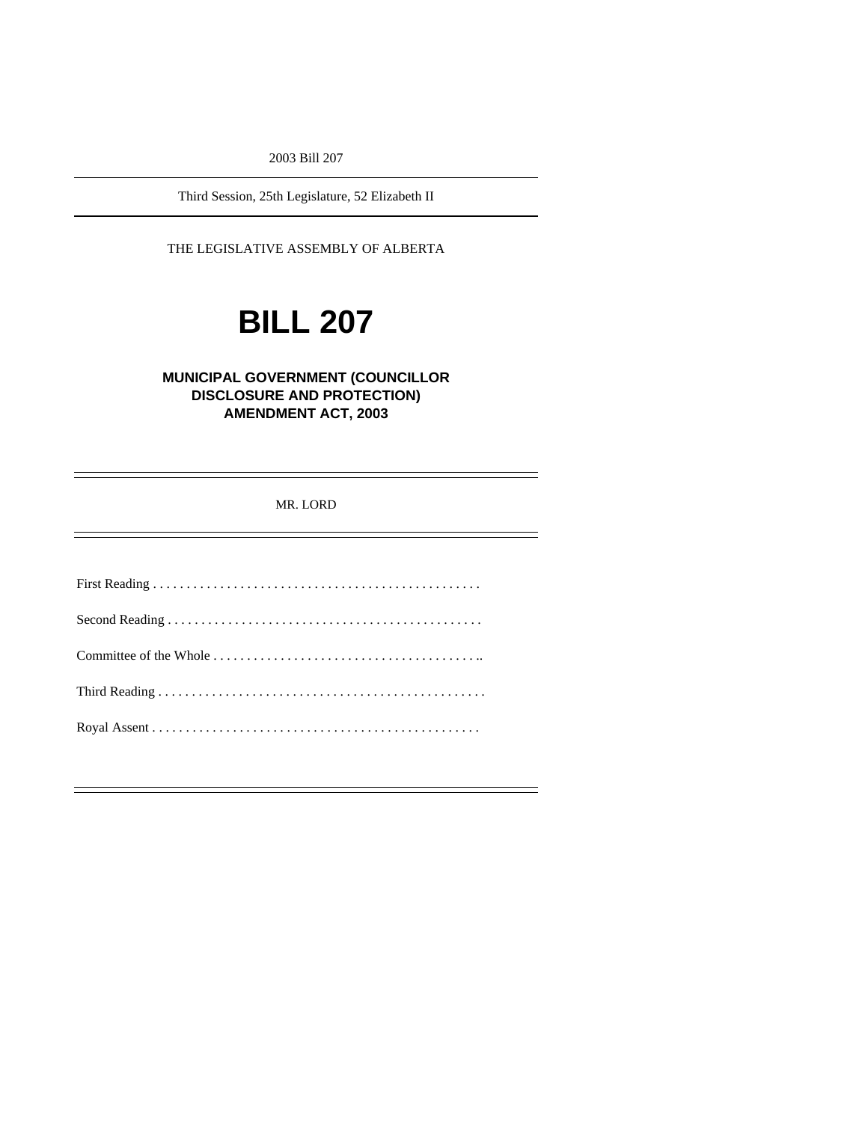2003 Bill 207

Third Session, 25th Legislature, 52 Elizabeth II

THE LEGISLATIVE ASSEMBLY OF ALBERTA

# **BILL 207**

# **MUNICIPAL GOVERNMENT (COUNCILLOR DISCLOSURE AND PROTECTION) AMENDMENT ACT, 2003**

MR. LORD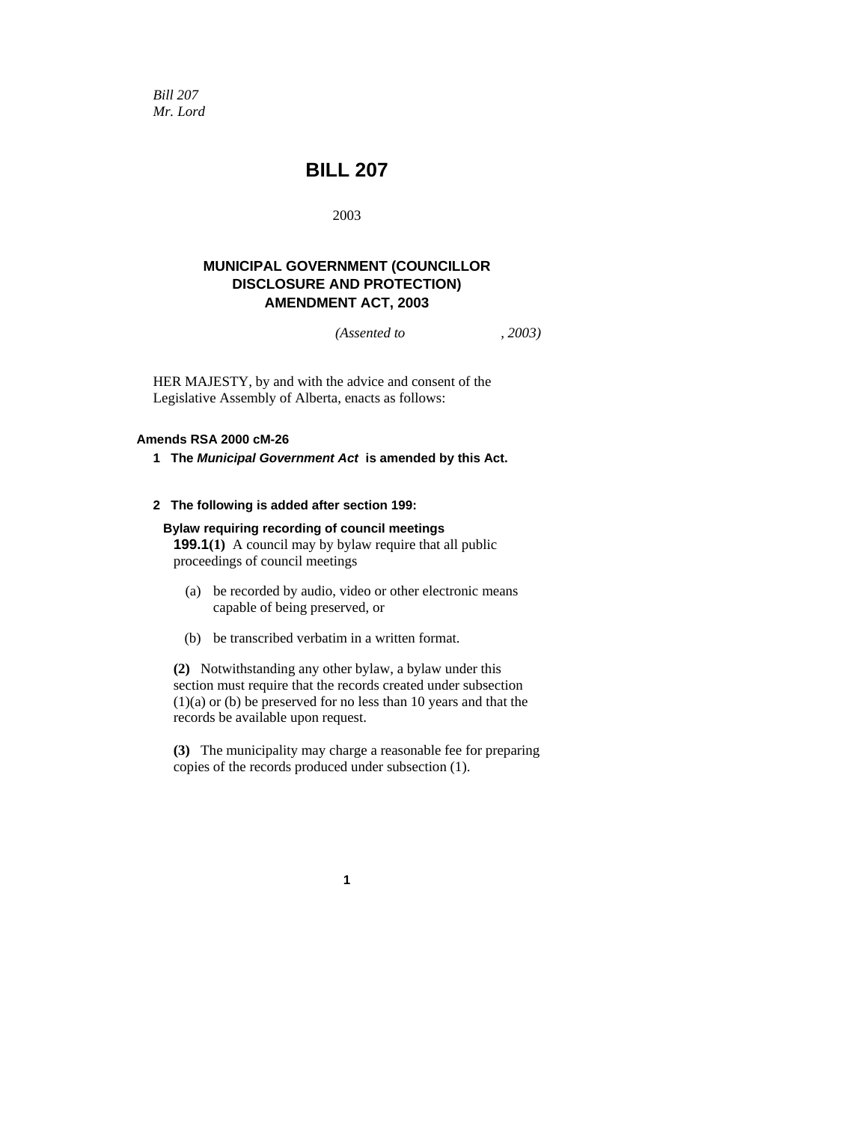*Bill 207 Mr. Lord* 

# **BILL 207**

2003

## **MUNICIPAL GOVERNMENT (COUNCILLOR DISCLOSURE AND PROTECTION) AMENDMENT ACT, 2003**

*(Assented to , 2003)* 

HER MAJESTY, by and with the advice and consent of the Legislative Assembly of Alberta, enacts as follows:

## **Amends RSA 2000 cM-26**

**1 The** *Municipal Government Act* **is amended by this Act.** 

#### **2 The following is added after section 199:**

#### **Bylaw requiring recording of council meetings**

**199.1(1)** A council may by bylaw require that all public proceedings of council meetings

- (a) be recorded by audio, video or other electronic means capable of being preserved, or
- (b) be transcribed verbatim in a written format.

**(2)** Notwithstanding any other bylaw, a bylaw under this section must require that the records created under subsection (1)(a) or (b) be preserved for no less than 10 years and that the records be available upon request.

**(3)** The municipality may charge a reasonable fee for preparing copies of the records produced under subsection (1).

**1**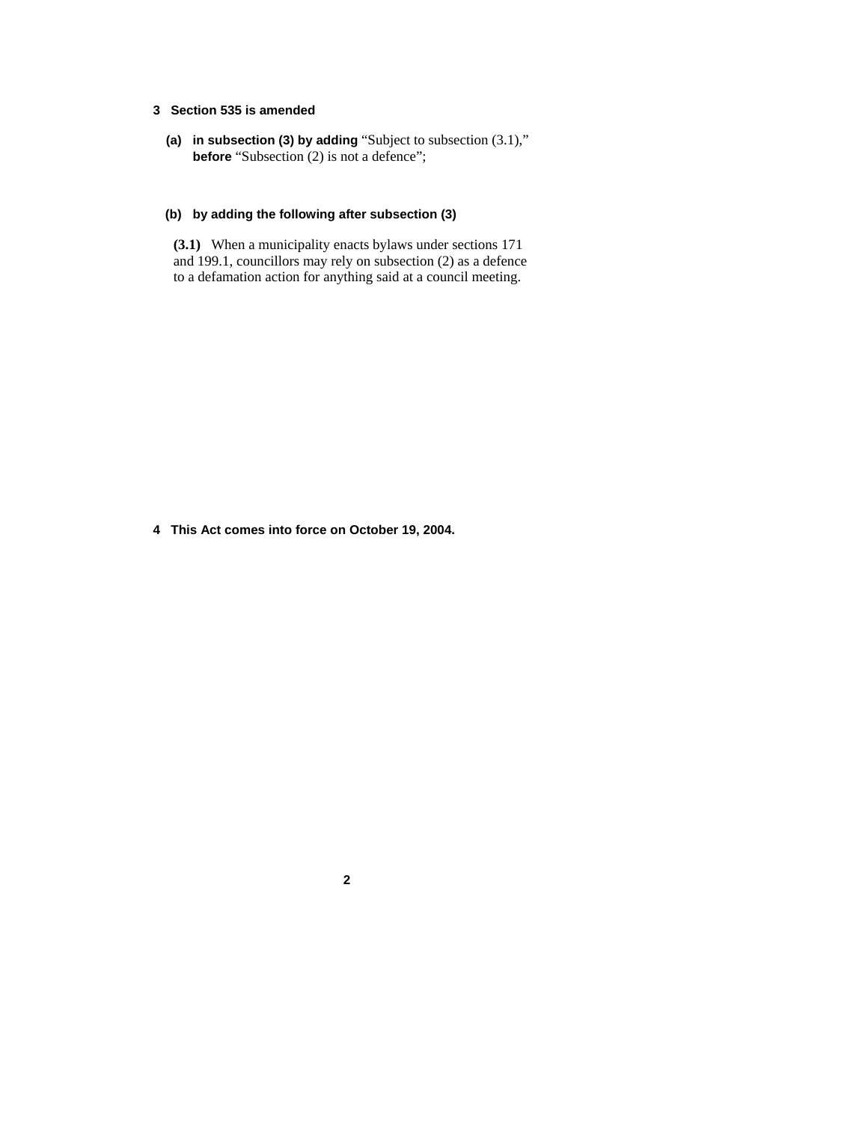## **3 Section 535 is amended**

 **(a) in subsection (3) by adding** "Subject to subsection (3.1)," **before** "Subsection (2) is not a defence";

#### **(b) by adding the following after subsection (3)**

**(3.1)** When a municipality enacts bylaws under sections 171 and 199.1, councillors may rely on subsection (2) as a defence to a defamation action for anything said at a council meeting.

**4 This Act comes into force on October 19, 2004.** 

**2**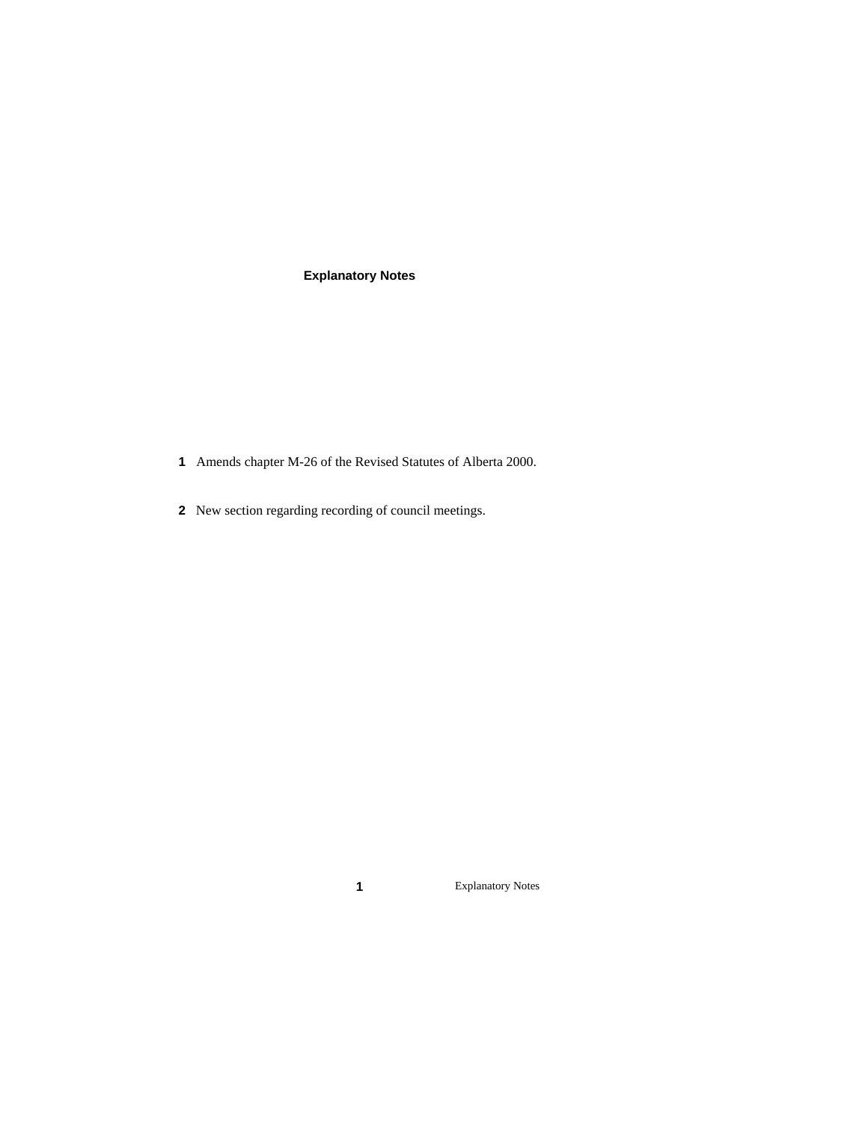# **Explanatory Notes**

- Amends chapter M-26 of the Revised Statutes of Alberta 2000.
- New section regarding recording of council meetings.

Explanatory Notes